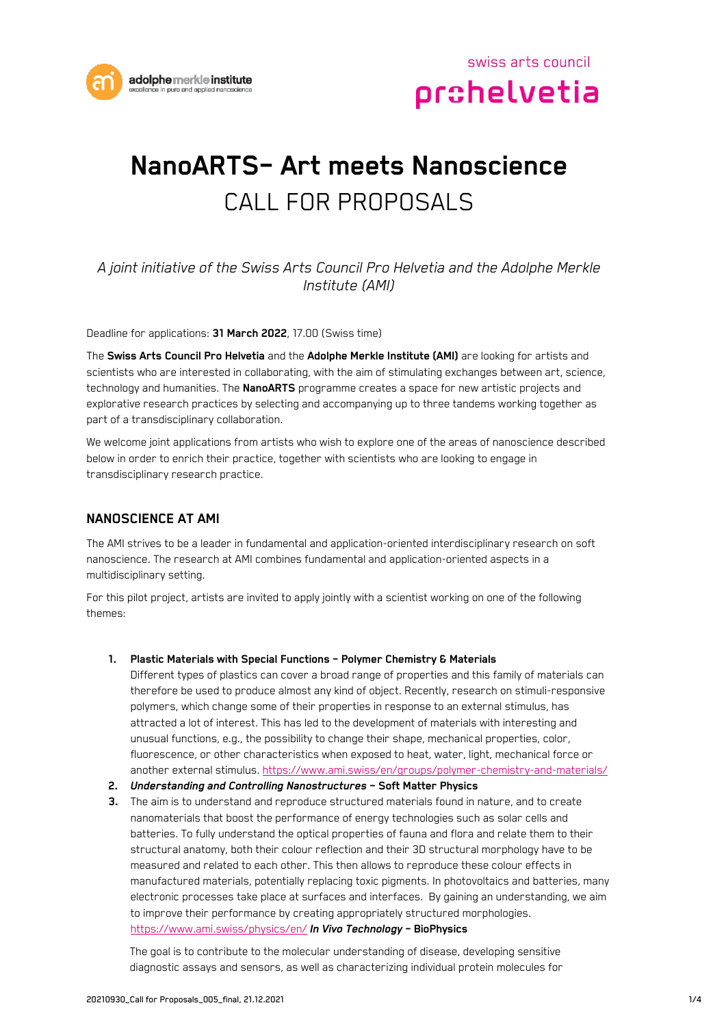

# **NanoARTS– Art meets Nanoscience** CALL FOR PROPOSALS

## *A joint initiative of the Swiss Arts Council Pro Helvetia and the Adolphe Merkle Institute (AMI)*

Deadline for applications: **31 March 2022**, 17.00 (Swiss time)

The **Swiss Arts Council Pro Helvetia** and the **Adolphe Merkle Institute (AMI)** are looking for artists and scientists who are interested in collaborating, with the aim of stimulating exchanges between art, science, technology and humanities. The **NanoARTS** programme creates a space for new artistic projects and explorative research practices by selecting and accompanying up to three tandems working together as part of a transdisciplinary collaboration.

We welcome joint applications from artists who wish to explore one of the areas of nanoscience described below in order to enrich their practice, together with scientists who are looking to engage in transdisciplinary research practice.

## **NANOSCIENCE AT AMI**

The AMI strives to be a leader in fundamental and application-oriented interdisciplinary research on soft nanoscience. The research at AMI combines fundamental and application-oriented aspects in a multidisciplinary setting.

For this pilot project, artists are invited to apply jointly with a scientist working on one of the following themes:

#### **1. Plastic Materials with Special Functions – Polymer Chemistry & Materials**

Different types of plastics can cover a broad range of properties and this family of materials can therefore be used to produce almost any kind of object. Recently, research on stimuli-responsive polymers, which change some of their properties in response to an external stimulus, has attracted a lot of interest. This has led to the development of materials with interesting and unusual functions, e.g., the possibility to change their shape, mechanical properties, color, fluorescence, or other characteristics when exposed to heat, water, light, mechanical force or another external stimulus[. https://www.ami.swiss/en/groups/polymer-chemistry-and-materials/](https://www.ami.swiss/en/groups/polymer-chemistry-and-materials/)

#### **2.** *Understanding and Controlling Nanostructures* **– Soft Matter Physics**

**3.** The aim is to understand and reproduce structured materials found in nature, and to create nanomaterials that boost the performance of energy technologies such as solar cells and batteries. To fully understand the optical properties of fauna and flora and relate them to their structural anatomy, both their colour reflection and their 3D structural morphology have to be measured and related to each other. This then allows to reproduce these colour effects in manufactured materials, potentially replacing toxic pigments. In photovoltaics and batteries, many electronic processes take place at surfaces and interfaces. By gaining an understanding, we aim to improve their performance by creating appropriately structured morphologies. <https://www.ami.swiss/physics/en/> *In Vivo Technology* **– BioPhysics**

The goal is to contribute to the molecular understanding of disease, developing sensitive diagnostic assays and sensors, as well as characterizing individual protein molecules for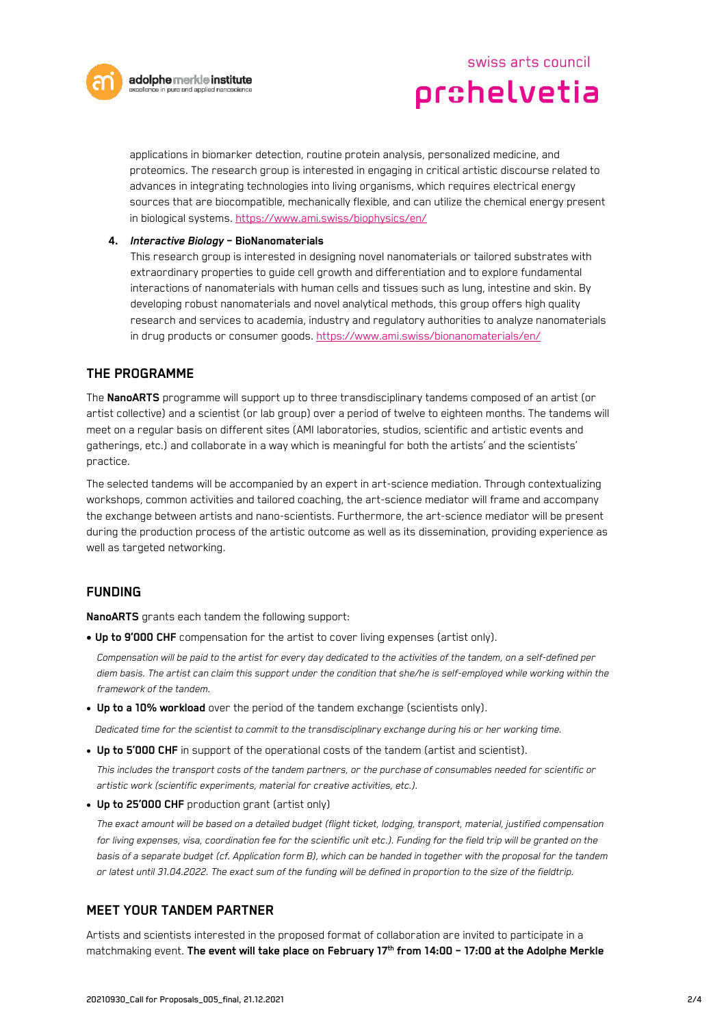

swiss arts council prohelvetia

applications in biomarker detection, routine protein analysis, personalized medicine, and proteomics. The research group is interested in engaging in critical artistic discourse related to advances in integrating technologies into living organisms, which requires electrical energy sources that are biocompatible, mechanically flexible, and can utilize the chemical energy present in biological systems.<https://www.ami.swiss/biophysics/en/>

#### **4.** *Interactive Biology* **– BioNanomaterials**

This research group is interested in designing novel nanomaterials or tailored substrates with extraordinary properties to guide cell growth and differentiation and to explore fundamental interactions of nanomaterials with human cells and tissues such as lung, intestine and skin. By developing robust nanomaterials and novel analytical methods, this group offers high quality research and services to academia, industry and regulatory authorities to analyze nanomaterials in drug products or consumer goods[. https://www.ami.swiss/bionanomaterials/en/](https://www.ami.swiss/bionanomaterials/en/)

#### **THE PROGRAMME**

The **NanoARTS** programme will support up to three transdisciplinary tandems composed of an artist (or artist collective) and a scientist (or lab group) over a period of twelve to eighteen months. The tandems will meet on a regular basis on different sites (AMI laboratories, studios, scientific and artistic events and gatherings, etc.) and collaborate in a way which is meaningful for both the artists' and the scientists' practice.

The selected tandems will be accompanied by an expert in art-science mediation. Through contextualizing workshops, common activities and tailored coaching, the art-science mediator will frame and accompany the exchange between artists and nano-scientists. Furthermore, the art-science mediator will be present during the production process of the artistic outcome as well as its dissemination, providing experience as well as targeted networking.

### **FUNDING**

**NanoARTS** grants each tandem the following support:

• **Up to 9'000 CHF** compensation for the artist to cover living expenses (artist only).

*Compensation will be paid to the artist for every day dedicated to the activities of the tandem, on a self-defined per diem basis. The artist can claim this support under the condition that she/he is self-employed while working within the framework of the tandem.* 

• **Up to a 10% workload** over the period of the tandem exchange (scientists only).

*Dedicated time for the scientist to commit to the transdisciplinary exchange during his or her working time.*

• **Up to 5'000 CHF** in support of the operational costs of the tandem (artist and scientist).

*This includes the transport costs of the tandem partners, or the purchase of consumables needed for scientific or artistic work (scientific experiments, material for creative activities, etc.).*

• **Up to 25'000 CHF** production grant (artist only)

*The exact amount will be based on a detailed budget (flight ticket, lodging, transport, material, justified compensation for living expenses, visa, coordination fee for the scientific unit etc.). Funding for the field trip will be granted on the basis of a separate budget (cf. Application form B), which can be handed in together with the proposal for the tandem or latest until 31.04.2022. The exact sum of the funding will be defined in proportion to the size of the fieldtrip.*

#### **MEET YOUR TANDEM PARTNER**

Artists and scientists interested in the proposed format of collaboration are invited to participate in a matchmaking event. **The event will take place on February 17 th from 14:00 – 17:00 at the Adolphe Merkle**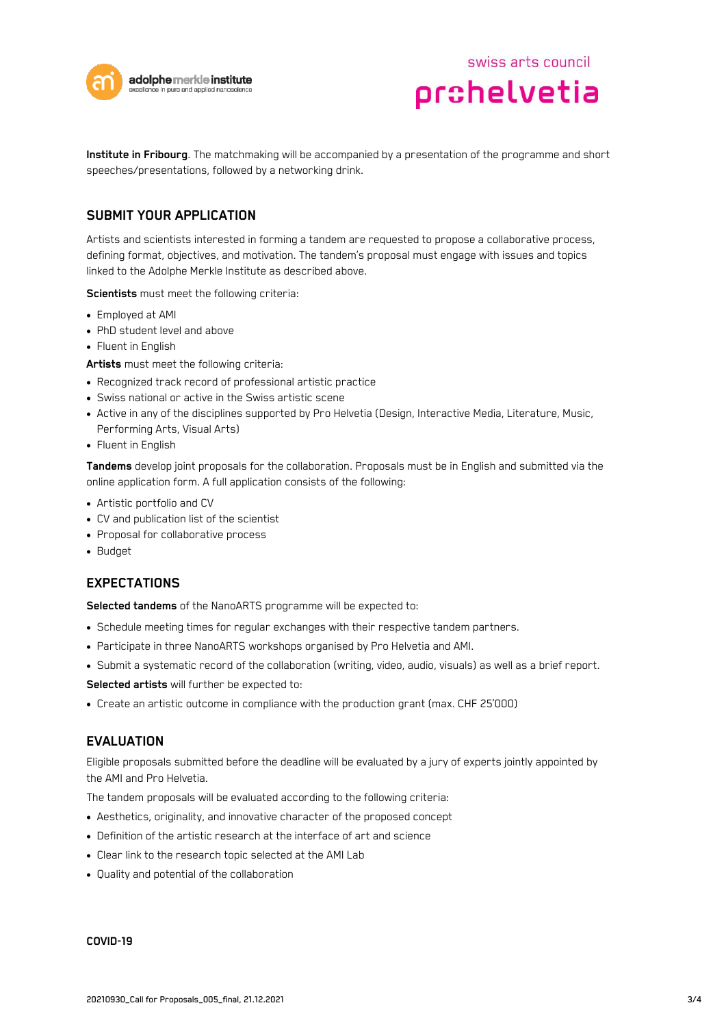



**Institute in Fribourg**. The matchmaking will be accompanied by a presentation of the programme and short speeches/presentations, followed by a networking drink.

## **SUBMIT YOUR APPLICATION**

Artists and scientists interested in forming a tandem are requested to propose a collaborative process, defining format, objectives, and motivation. The tandem's proposal must engage with issues and topics linked to the Adolphe Merkle Institute as described above.

**Scientists** must meet the following criteria:

- Employed at AMI
- PhD student level and above
- Fluent in English

**Artists** must meet the following criteria:

- Recognized track record of professional artistic practice
- Swiss national or active in the Swiss artistic scene
- Active in any of the disciplines supported by Pro Helvetia (Design, Interactive Media, Literature, Music, Performing Arts, Visual Arts)
- Fluent in English

**Tandems** develop joint proposals for the collaboration. Proposals must be in English and submitted via the online application form. A full application consists of the following:

- Artistic portfolio and CV
- CV and publication list of the scientist
- Proposal for collaborative process
- Budget

### **EXPECTATIONS**

**Selected tandems** of the NanoARTS programme will be expected to:

- Schedule meeting times for regular exchanges with their respective tandem partners.
- Participate in three NanoARTS workshops organised by Pro Helvetia and AMI.
- Submit a systematic record of the collaboration (writing, video, audio, visuals) as well as a brief report.

**Selected artists** will further be expected to:

• Create an artistic outcome in compliance with the production grant (max. CHF 25'000)

#### **EVALUATION**

Eligible proposals submitted before the deadline will be evaluated by a jury of experts jointly appointed by the AMI and Pro Helvetia.

The tandem proposals will be evaluated according to the following criteria:

- Aesthetics, originality, and innovative character of the proposed concept
- Definition of the artistic research at the interface of art and science
- Clear link to the research topic selected at the AMI Lab
- Quality and potential of the collaboration

#### **COVID-19**